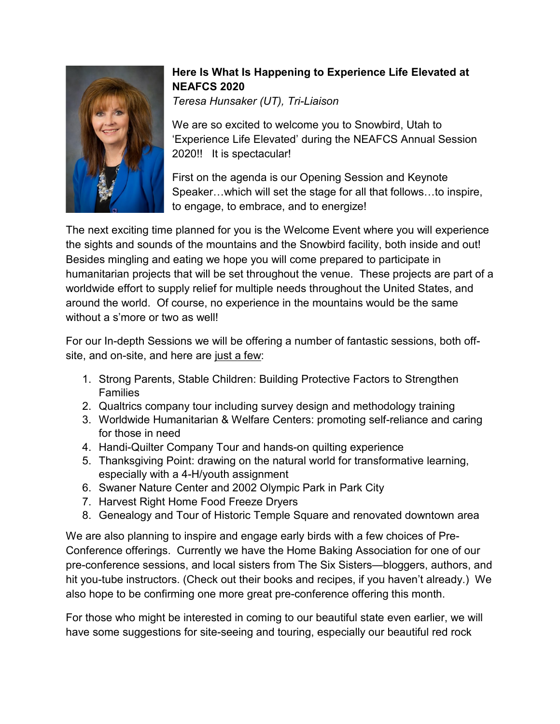

## **Here Is What Is Happening to Experience Life Elevated at NEAFCS 2020**

*Teresa Hunsaker (UT), Tri-Liaison*

We are so excited to welcome you to Snowbird, Utah to 'Experience Life Elevated' during the NEAFCS Annual Session 2020!! It is spectacular!

First on the agenda is our Opening Session and Keynote Speaker…which will set the stage for all that follows…to inspire, to engage, to embrace, and to energize!

The next exciting time planned for you is the Welcome Event where you will experience the sights and sounds of the mountains and the Snowbird facility, both inside and out! Besides mingling and eating we hope you will come prepared to participate in humanitarian projects that will be set throughout the venue. These projects are part of a worldwide effort to supply relief for multiple needs throughout the United States, and around the world. Of course, no experience in the mountains would be the same without a s'more or two as well!

For our In-depth Sessions we will be offering a number of fantastic sessions, both offsite, and on-site, and here are just a few:

- 1. Strong Parents, Stable Children: Building Protective Factors to Strengthen Families
- 2. Qualtrics company tour including survey design and methodology training
- 3. Worldwide Humanitarian & Welfare Centers: promoting self-reliance and caring for those in need
- 4. Handi-Quilter Company Tour and hands-on quilting experience
- 5. Thanksgiving Point: drawing on the natural world for transformative learning, especially with a 4-H/youth assignment
- 6. Swaner Nature Center and 2002 Olympic Park in Park City
- 7. Harvest Right Home Food Freeze Dryers
- 8. Genealogy and Tour of Historic Temple Square and renovated downtown area

We are also planning to inspire and engage early birds with a few choices of Pre-Conference offerings. Currently we have the Home Baking Association for one of our pre-conference sessions, and local sisters from The Six Sisters—bloggers, authors, and hit you-tube instructors. (Check out their books and recipes, if you haven't already.) We also hope to be confirming one more great pre-conference offering this month.

For those who might be interested in coming to our beautiful state even earlier, we will have some suggestions for site-seeing and touring, especially our beautiful red rock